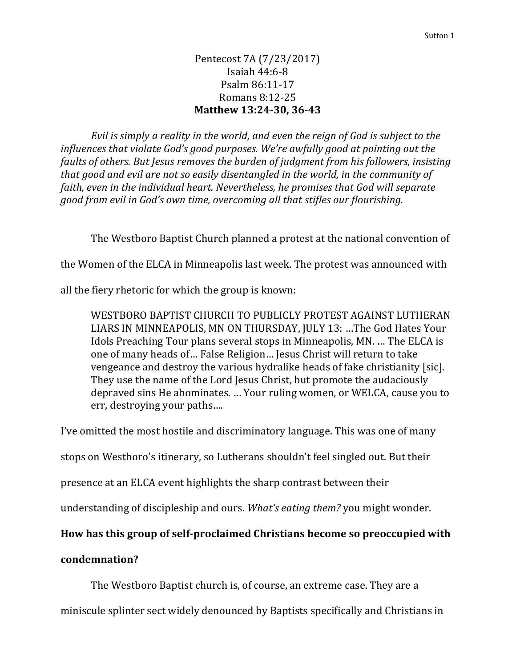## Pentecost 7A (7/23/2017) Isaiah 44:6-8 Psalm 86:11-17 Romans 8:12-25 **Matthew 13:24-30, 36-43**

*Evil is simply a reality in the world, and even the reign of God is subject to the influences that violate God's good purposes. We're awfully good at pointing out the faults of others. But Jesus removes the burden of judgment from his followers, insisting that good and evil are not so easily disentangled in the world, in the community of faith, even in the individual heart. Nevertheless, he promises that God will separate good from evil in God's own time, overcoming all that stifles our flourishing.*

The Westboro Baptist Church planned a protest at the national convention of

the Women of the ELCA in Minneapolis last week. The protest was announced with

all the fiery rhetoric for which the group is known:

WESTBORO BAPTIST CHURCH TO PUBLICLY PROTEST AGAINST LUTHERAN LIARS IN MINNEAPOLIS, MN ON THURSDAY, JULY 13: …The God Hates Your Idols Preaching Tour plans several stops in Minneapolis, MN. … The ELCA is one of many heads of… False Religion… Jesus Christ will return to take vengeance and destroy the various hydralike heads of fake christianity [sic]. They use the name of the Lord Jesus Christ, but promote the audaciously depraved sins He abominates. … Your ruling women, or WELCA, cause you to err, destroying your paths….

I've omitted the most hostile and discriminatory language. This was one of many

stops on Westboro's itinerary, so Lutherans shouldn't feel singled out. But their

presence at an ELCA event highlights the sharp contrast between their

understanding of discipleship and ours. *What's eating them?* you might wonder.

## **How has this group of self-proclaimed Christians become so preoccupied with**

## **condemnation?**

The Westboro Baptist church is, of course, an extreme case. They are a

miniscule splinter sect widely denounced by Baptists specifically and Christians in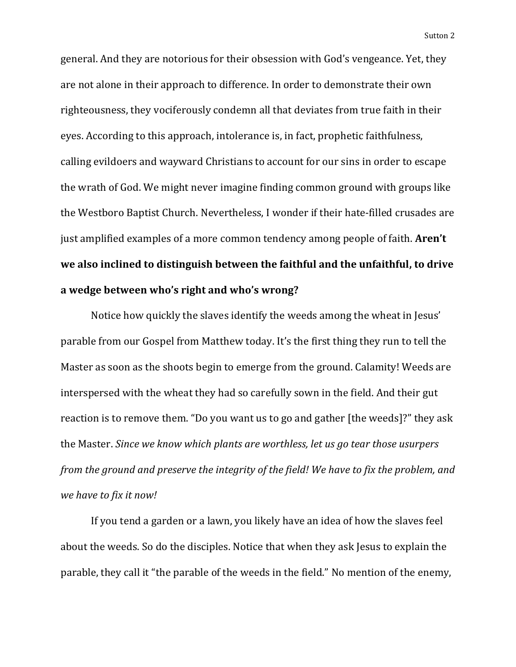general. And they are notorious for their obsession with God's vengeance. Yet, they are not alone in their approach to difference. In order to demonstrate their own righteousness, they vociferously condemn all that deviates from true faith in their eyes. According to this approach, intolerance is, in fact, prophetic faithfulness, calling evildoers and wayward Christians to account for our sins in order to escape the wrath of God. We might never imagine finding common ground with groups like the Westboro Baptist Church. Nevertheless, I wonder if their hate-filled crusades are just amplified examples of a more common tendency among people of faith. **Aren't we also inclined to distinguish between the faithful and the unfaithful, to drive a wedge between who's right and who's wrong?**

Notice how quickly the slaves identify the weeds among the wheat in Jesus' parable from our Gospel from Matthew today. It's the first thing they run to tell the Master as soon as the shoots begin to emerge from the ground. Calamity! Weeds are interspersed with the wheat they had so carefully sown in the field. And their gut reaction is to remove them. "Do you want us to go and gather [the weeds]?" they ask the Master. *Since we know which plants are worthless, let us go tear those usurpers from the ground and preserve the integrity of the field! We have to fix the problem, and we have to fix it now!*

If you tend a garden or a lawn, you likely have an idea of how the slaves feel about the weeds. So do the disciples. Notice that when they ask Jesus to explain the parable, they call it "the parable of the weeds in the field." No mention of the enemy,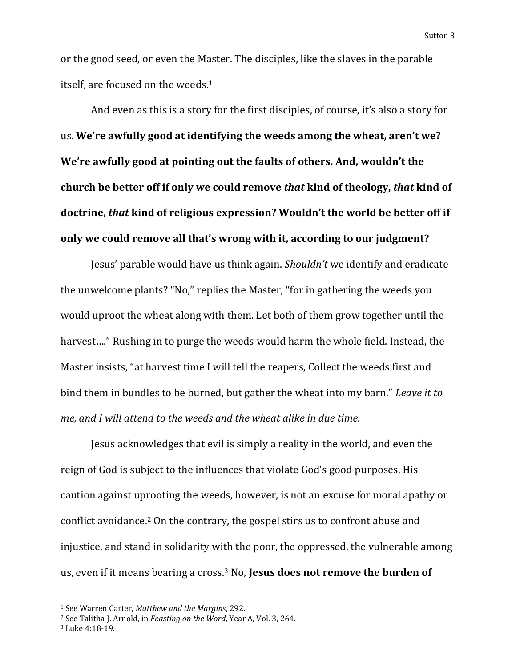or the good seed, or even the Master. The disciples, like the slaves in the parable itself, are focused on the weeds.<sup>1</sup>

And even as this is a story for the first disciples, of course, it's also a story for us. **We're awfully good at identifying the weeds among the wheat, aren't we? We're awfully good at pointing out the faults of others. And, wouldn't the church be better off if only we could remove** *that* **kind of theology,** *that* **kind of doctrine,** *that* **kind of religious expression? Wouldn't the world be better off if only we could remove all that's wrong with it, according to our judgment?**

Jesus' parable would have us think again. *Shouldn't* we identify and eradicate the unwelcome plants? "No," replies the Master, "for in gathering the weeds you would uproot the wheat along with them. Let both of them grow together until the harvest…." Rushing in to purge the weeds would harm the whole field. Instead, the Master insists, "at harvest time I will tell the reapers, Collect the weeds first and bind them in bundles to be burned, but gather the wheat into my barn." *Leave it to me, and I will attend to the weeds and the wheat alike in due time*.

Jesus acknowledges that evil is simply a reality in the world, and even the reign of God is subject to the influences that violate God's good purposes. His caution against uprooting the weeds, however, is not an excuse for moral apathy or conflict avoidance.<sup>2</sup> On the contrary, the gospel stirs us to confront abuse and injustice, and stand in solidarity with the poor, the oppressed, the vulnerable among us, even if it means bearing a cross.<sup>3</sup> No, **Jesus does not remove the burden of** 

 $\overline{\phantom{a}}$ 

<sup>1</sup> See Warren Carter, *Matthew and the Margins*, 292.

<sup>2</sup> See Talitha J. Arnold, in *Feasting on the Word*, Year A, Vol. 3, 264.

<sup>3</sup> Luke 4:18-19.